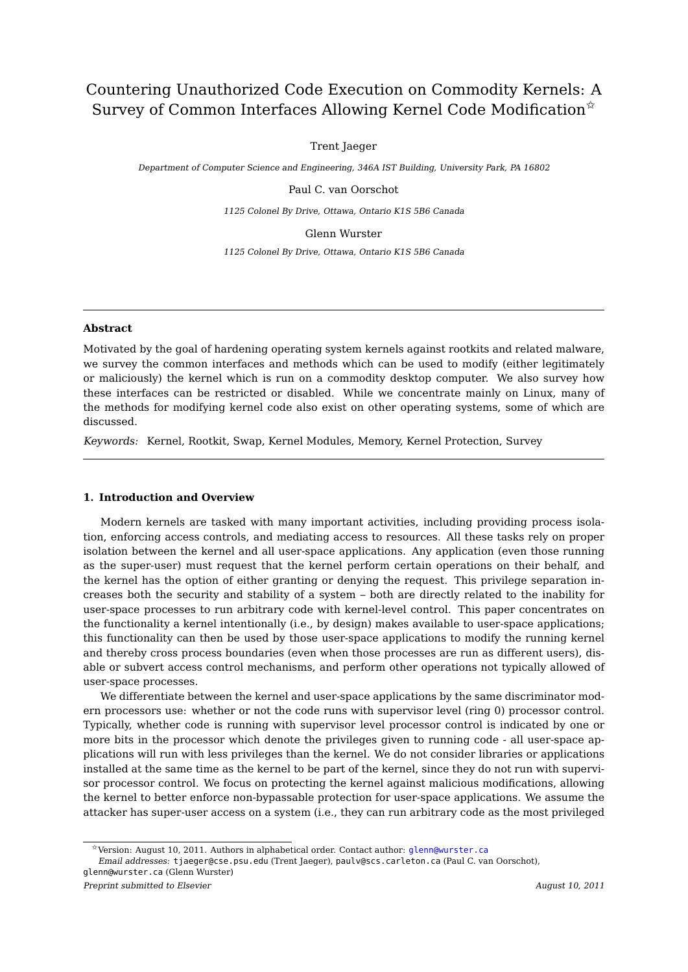# Countering Unauthorized Code Execution on Commodity Kernels: A Survey of Common Interfaces Allowing Kernel Code Modification $\mathring{x}$

Trent Jaeger

Department of Computer Science and Engineering, 346A IST Building, University Park, PA 16802

Paul C. van Oorschot

1125 Colonel By Drive, Ottawa, Ontario K1S 5B6 Canada

Glenn Wurster

1125 Colonel By Drive, Ottawa, Ontario K1S 5B6 Canada

## **Abstract**

Motivated by the goal of hardening operating system kernels against rootkits and related malware, we survey the common interfaces and methods which can be used to modify (either legitimately or maliciously) the kernel which is run on a commodity desktop computer. We also survey how these interfaces can be restricted or disabled. While we concentrate mainly on Linux, many of the methods for modifying kernel code also exist on other operating systems, some of which are discussed.

Keywords: Kernel, Rootkit, Swap, Kernel Modules, Memory, Kernel Protection, Survey

# **1. Introduction and Overview**

Modern kernels are tasked with many important activities, including providing process isolation, enforcing access controls, and mediating access to resources. All these tasks rely on proper isolation between the kernel and all user-space applications. Any application (even those running as the super-user) must request that the kernel perform certain operations on their behalf, and the kernel has the option of either granting or denying the request. This privilege separation increases both the security and stability of a system – both are directly related to the inability for user-space processes to run arbitrary code with kernel-level control. This paper concentrates on the functionality a kernel intentionally (i.e., by design) makes available to user-space applications; this functionality can then be used by those user-space applications to modify the running kernel and thereby cross process boundaries (even when those processes are run as different users), disable or subvert access control mechanisms, and perform other operations not typically allowed of user-space processes.

We differentiate between the kernel and user-space applications by the same discriminator modern processors use: whether or not the code runs with supervisor level (ring 0) processor control. Typically, whether code is running with supervisor level processor control is indicated by one or more bits in the processor which denote the privileges given to running code - all user-space applications will run with less privileges than the kernel. We do not consider libraries or applications installed at the same time as the kernel to be part of the kernel, since they do not run with supervisor processor control. We focus on protecting the kernel against malicious modifications, allowing the kernel to better enforce non-bypassable protection for user-space applications. We assume the attacker has super-user access on a system (i.e., they can run arbitrary code as the most privileged

<sup>✩</sup>Version: August 10, 2011. Authors in alphabetical order. Contact author: [glenn@wurster.ca](mailto:glenn@wurster.ca)

Email addresses: tjaeger@cse.psu.edu (Trent Jaeger), paulv@scs.carleton.ca (Paul C. van Oorschot), glenn@wurster.ca (Glenn Wurster)

Preprint submitted to Elsevier August 10, 2011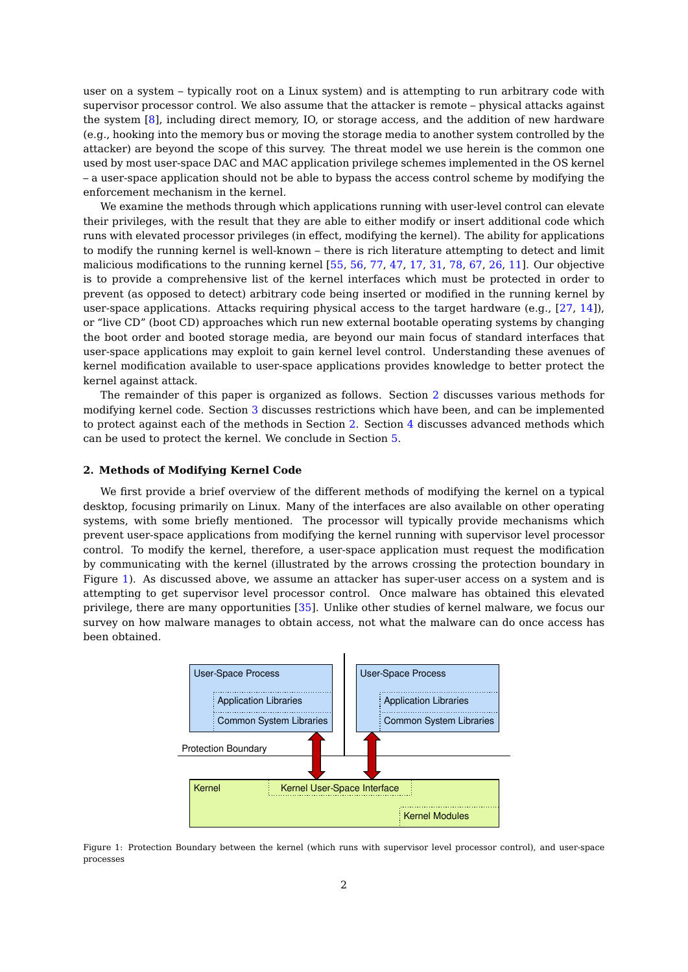user on a system – typically root on a Linux system) and is attempting to run arbitrary code with supervisor processor control. We also assume that the attacker is remote – physical attacks against the system [\[8\]](#page-9-0), including direct memory, IO, or storage access, and the addition of new hardware (e.g., hooking into the memory bus or moving the storage media to another system controlled by the attacker) are beyond the scope of this survey. The threat model we use herein is the common one used by most user-space DAC and MAC application privilege schemes implemented in the OS kernel – a user-space application should not be able to bypass the access control scheme by modifying the enforcement mechanism in the kernel.

We examine the methods through which applications running with user-level control can elevate their privileges, with the result that they are able to either modify or insert additional code which runs with elevated processor privileges (in effect, modifying the kernel). The ability for applications to modify the running kernel is well-known – there is rich literature attempting to detect and limit malicious modifications to the running kernel [\[55,](#page-10-0) [56,](#page-10-1) [77,](#page-10-2) [47,](#page-9-1) [17,](#page-9-2) [31,](#page-9-3) [78,](#page-10-3) [67,](#page-10-4) [26,](#page-9-4) [11\]](#page-9-5). Our objective is to provide a comprehensive list of the kernel interfaces which must be protected in order to prevent (as opposed to detect) arbitrary code being inserted or modified in the running kernel by user-space applications. Attacks requiring physical access to the target hardware (e.g., [\[27,](#page-9-6) [14\]](#page-9-7)), or "live CD" (boot CD) approaches which run new external bootable operating systems by changing the boot order and booted storage media, are beyond our main focus of standard interfaces that user-space applications may exploit to gain kernel level control. Understanding these avenues of kernel modification available to user-space applications provides knowledge to better protect the kernel against attack.

The remainder of this paper is organized as follows. Section [2](#page-1-0) discusses various methods for modifying kernel code. Section [3](#page-4-0) discusses restrictions which have been, and can be implemented to protect against each of the methods in Section [2.](#page-1-0) Section [4](#page-6-0) discusses advanced methods which can be used to protect the kernel. We conclude in Section [5.](#page-8-0)

### <span id="page-1-0"></span>**2. Methods of Modifying Kernel Code**

We first provide a brief overview of the different methods of modifying the kernel on a typical desktop, focusing primarily on Linux. Many of the interfaces are also available on other operating systems, with some briefly mentioned. The processor will typically provide mechanisms which prevent user-space applications from modifying the kernel running with supervisor level processor control. To modify the kernel, therefore, a user-space application must request the modification by communicating with the kernel (illustrated by the arrows crossing the protection boundary in Figure [1\)](#page-1-1). As discussed above, we assume an attacker has super-user access on a system and is attempting to get supervisor level processor control. Once malware has obtained this elevated privilege, there are many opportunities [\[35\]](#page-9-8). Unlike other studies of kernel malware, we focus our survey on how malware manages to obtain access, not what the malware can do once access has been obtained.



<span id="page-1-1"></span>Figure 1: Protection Boundary between the kernel (which runs with supervisor level processor control), and user-space processes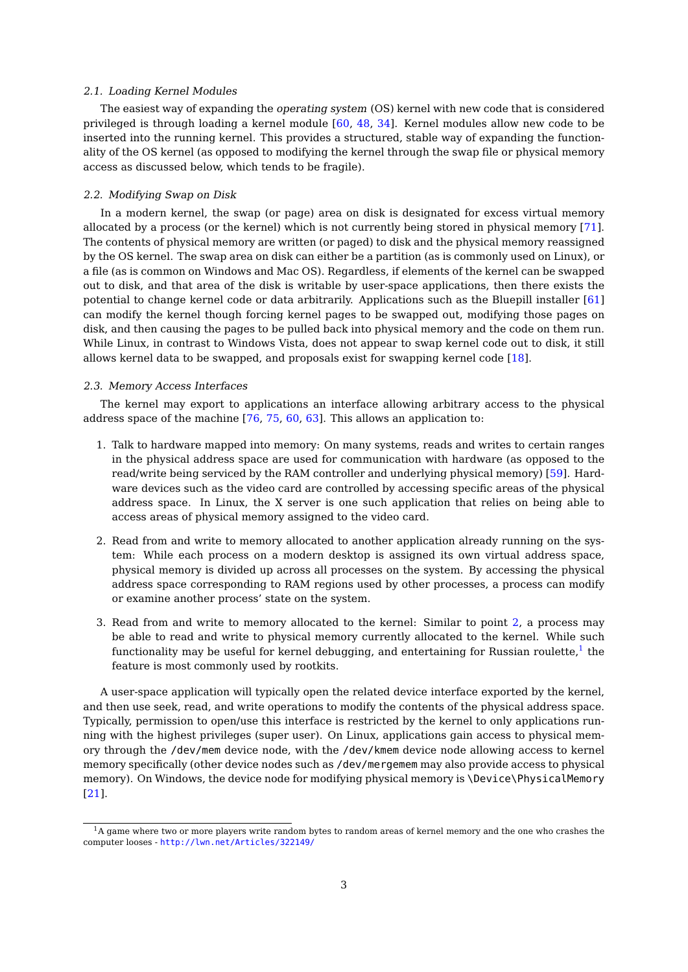## 2.1. Loading Kernel Modules

The easiest way of expanding the operating system (OS) kernel with new code that is considered privileged is through loading a kernel module [\[60,](#page-10-5) [48,](#page-9-9) [34\]](#page-9-10). Kernel modules allow new code to be inserted into the running kernel. This provides a structured, stable way of expanding the functionality of the OS kernel (as opposed to modifying the kernel through the swap file or physical memory access as discussed below, which tends to be fragile).

## 2.2. Modifying Swap on Disk

In a modern kernel, the swap (or page) area on disk is designated for excess virtual memory allocated by a process (or the kernel) which is not currently being stored in physical memory [\[71\]](#page-10-6). The contents of physical memory are written (or paged) to disk and the physical memory reassigned by the OS kernel. The swap area on disk can either be a partition (as is commonly used on Linux), or a file (as is common on Windows and Mac OS). Regardless, if elements of the kernel can be swapped out to disk, and that area of the disk is writable by user-space applications, then there exists the potential to change kernel code or data arbitrarily. Applications such as the Bluepill installer [\[61\]](#page-10-7) can modify the kernel though forcing kernel pages to be swapped out, modifying those pages on disk, and then causing the pages to be pulled back into physical memory and the code on them run. While Linux, in contrast to Windows Vista, does not appear to swap kernel code out to disk, it still allows kernel data to be swapped, and proposals exist for swapping kernel code [\[18\]](#page-9-11).

## 2.3. Memory Access Interfaces

The kernel may export to applications an interface allowing arbitrary access to the physical address space of the machine [\[76,](#page-10-8) [75,](#page-10-9) [60,](#page-10-5) [63\]](#page-10-10). This allows an application to:

- 1. Talk to hardware mapped into memory: On many systems, reads and writes to certain ranges in the physical address space are used for communication with hardware (as opposed to the read/write being serviced by the RAM controller and underlying physical memory) [\[59\]](#page-10-11). Hardware devices such as the video card are controlled by accessing specific areas of the physical address space. In Linux, the X server is one such application that relies on being able to access areas of physical memory assigned to the video card.
- <span id="page-2-0"></span>2. Read from and write to memory allocated to another application already running on the system: While each process on a modern desktop is assigned its own virtual address space, physical memory is divided up across all processes on the system. By accessing the physical address space corresponding to RAM regions used by other processes, a process can modify or examine another process' state on the system.
- 3. Read from and write to memory allocated to the kernel: Similar to point [2,](#page-2-0) a process may be able to read and write to physical memory currently allocated to the kernel. While such functionality may be useful for kernel debugging, and entertaining for Russian roulette, $^1$  $^1$  the feature is most commonly used by rootkits.

A user-space application will typically open the related device interface exported by the kernel, and then use seek, read, and write operations to modify the contents of the physical address space. Typically, permission to open/use this interface is restricted by the kernel to only applications running with the highest privileges (super user). On Linux, applications gain access to physical memory through the /dev/mem device node, with the /dev/kmem device node allowing access to kernel memory specifically (other device nodes such as /dev/mergemem may also provide access to physical memory). On Windows, the device node for modifying physical memory is \Device\PhysicalMemory [\[21\]](#page-9-12).

<span id="page-2-1"></span><sup>1</sup>A game where two or more players write random bytes to random areas of kernel memory and the one who crashes the computer looses - <http://lwn.net/Articles/322149/>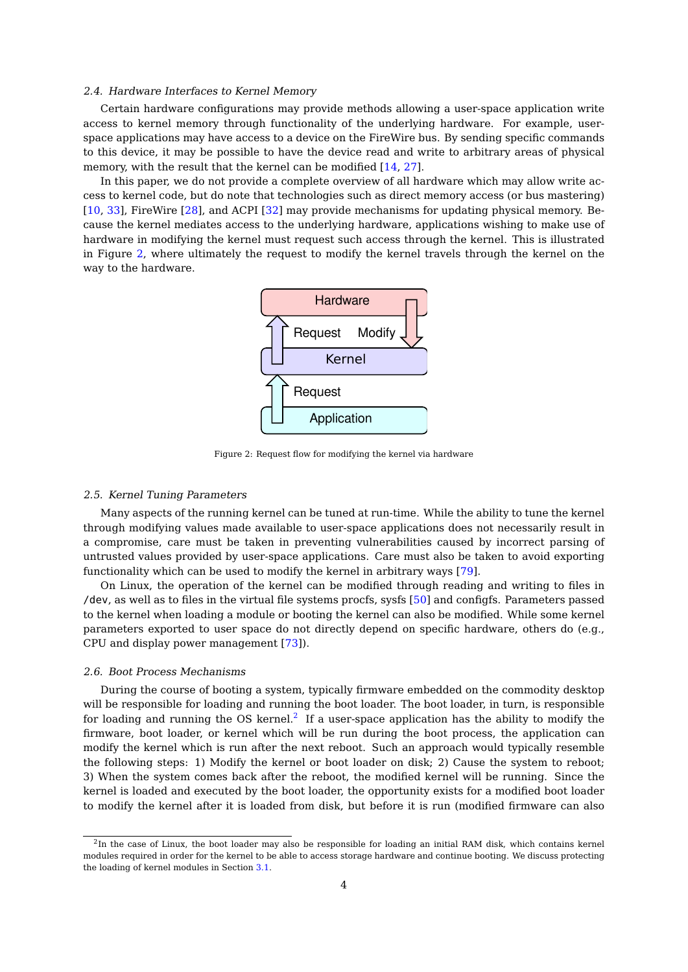#### <span id="page-3-2"></span>2.4. Hardware Interfaces to Kernel Memory

Certain hardware configurations may provide methods allowing a user-space application write access to kernel memory through functionality of the underlying hardware. For example, userspace applications may have access to a device on the FireWire bus. By sending specific commands to this device, it may be possible to have the device read and write to arbitrary areas of physical memory, with the result that the kernel can be modified [\[14,](#page-9-7) [27\]](#page-9-6).

In this paper, we do not provide a complete overview of all hardware which may allow write access to kernel code, but do note that technologies such as direct memory access (or bus mastering) [\[10,](#page-9-13) [33\]](#page-9-14), FireWire [\[28\]](#page-9-15), and ACPI [\[32\]](#page-9-16) may provide mechanisms for updating physical memory. Because the kernel mediates access to the underlying hardware, applications wishing to make use of hardware in modifying the kernel must request such access through the kernel. This is illustrated in Figure [2,](#page-3-0) where ultimately the request to modify the kernel travels through the kernel on the way to the hardware.



<span id="page-3-0"></span>Figure 2: Request flow for modifying the kernel via hardware

#### <span id="page-3-3"></span>2.5. Kernel Tuning Parameters

Many aspects of the running kernel can be tuned at run-time. While the ability to tune the kernel through modifying values made available to user-space applications does not necessarily result in a compromise, care must be taken in preventing vulnerabilities caused by incorrect parsing of untrusted values provided by user-space applications. Care must also be taken to avoid exporting functionality which can be used to modify the kernel in arbitrary ways [\[79\]](#page-10-12).

On Linux, the operation of the kernel can be modified through reading and writing to files in /dev, as well as to files in the virtual file systems procfs, sysfs [\[50\]](#page-10-13) and configfs. Parameters passed to the kernel when loading a module or booting the kernel can also be modified. While some kernel parameters exported to user space do not directly depend on specific hardware, others do (e.g., CPU and display power management [\[73\]](#page-10-14)).

#### <span id="page-3-4"></span>2.6. Boot Process Mechanisms

During the course of booting a system, typically firmware embedded on the commodity desktop will be responsible for loading and running the boot loader. The boot loader, in turn, is responsible for loading and running the OS kernel.<sup>[2](#page-3-1)</sup> If a user-space application has the ability to modify the firmware, boot loader, or kernel which will be run during the boot process, the application can modify the kernel which is run after the next reboot. Such an approach would typically resemble the following steps: 1) Modify the kernel or boot loader on disk; 2) Cause the system to reboot; 3) When the system comes back after the reboot, the modified kernel will be running. Since the kernel is loaded and executed by the boot loader, the opportunity exists for a modified boot loader to modify the kernel after it is loaded from disk, but before it is run (modified firmware can also

<span id="page-3-1"></span> ${}^{2}$ In the case of Linux, the boot loader may also be responsible for loading an initial RAM disk, which contains kernel modules required in order for the kernel to be able to access storage hardware and continue booting. We discuss protecting the loading of kernel modules in Section [3.1.](#page-4-1)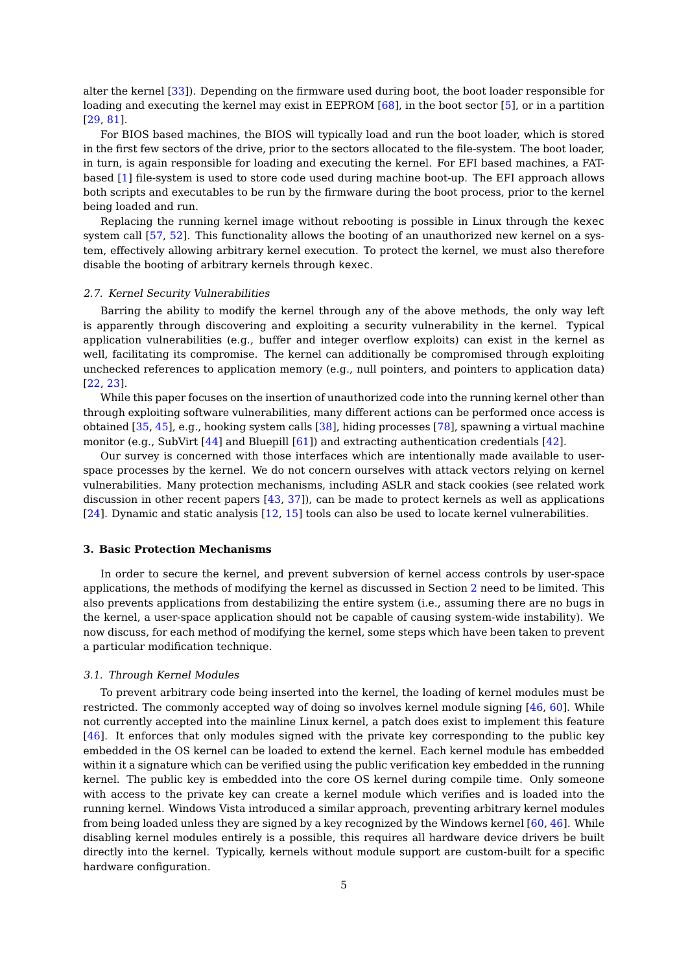alter the kernel [\[33\]](#page-9-14)). Depending on the firmware used during boot, the boot loader responsible for loading and executing the kernel may exist in EEPROM [\[68\]](#page-10-15), in the boot sector [\[5\]](#page-8-1), or in a partition [\[29,](#page-9-17) [81\]](#page-10-16).

For BIOS based machines, the BIOS will typically load and run the boot loader, which is stored in the first few sectors of the drive, prior to the sectors allocated to the file-system. The boot loader, in turn, is again responsible for loading and executing the kernel. For EFI based machines, a FATbased [\[1\]](#page-8-2) file-system is used to store code used during machine boot-up. The EFI approach allows both scripts and executables to be run by the firmware during the boot process, prior to the kernel being loaded and run.

Replacing the running kernel image without rebooting is possible in Linux through the kexec system call [\[57,](#page-10-17) [52\]](#page-10-18). This functionality allows the booting of an unauthorized new kernel on a system, effectively allowing arbitrary kernel execution. To protect the kernel, we must also therefore disable the booting of arbitrary kernels through kexec.

#### 2.7. Kernel Security Vulnerabilities

Barring the ability to modify the kernel through any of the above methods, the only way left is apparently through discovering and exploiting a security vulnerability in the kernel. Typical application vulnerabilities (e.g., buffer and integer overflow exploits) can exist in the kernel as well, facilitating its compromise. The kernel can additionally be compromised through exploiting unchecked references to application memory (e.g., null pointers, and pointers to application data) [\[22,](#page-9-18) [23\]](#page-9-19).

While this paper focuses on the insertion of unauthorized code into the running kernel other than through exploiting software vulnerabilities, many different actions can be performed once access is obtained [\[35,](#page-9-8) [45\]](#page-9-20), e.g., hooking system calls [\[38\]](#page-9-21), hiding processes [\[78\]](#page-10-3), spawning a virtual machine monitor (e.g., SubVirt [\[44\]](#page-9-22) and Bluepill [\[61\]](#page-10-7)) and extracting authentication credentials [\[42\]](#page-9-23).

Our survey is concerned with those interfaces which are intentionally made available to userspace processes by the kernel. We do not concern ourselves with attack vectors relying on kernel vulnerabilities. Many protection mechanisms, including ASLR and stack cookies (see related work discussion in other recent papers [\[43,](#page-9-24) [37\]](#page-9-25)), can be made to protect kernels as well as applications [\[24\]](#page-9-26). Dynamic and static analysis [\[12,](#page-9-27) [15\]](#page-9-28) tools can also be used to locate kernel vulnerabilities.

## <span id="page-4-0"></span>**3. Basic Protection Mechanisms**

In order to secure the kernel, and prevent subversion of kernel access controls by user-space applications, the methods of modifying the kernel as discussed in Section [2](#page-1-0) need to be limited. This also prevents applications from destabilizing the entire system (i.e., assuming there are no bugs in the kernel, a user-space application should not be capable of causing system-wide instability). We now discuss, for each method of modifying the kernel, some steps which have been taken to prevent a particular modification technique.

#### <span id="page-4-1"></span>3.1. Through Kernel Modules

To prevent arbitrary code being inserted into the kernel, the loading of kernel modules must be restricted. The commonly accepted way of doing so involves kernel module signing [\[46,](#page-9-29) [60\]](#page-10-5). While not currently accepted into the mainline Linux kernel, a patch does exist to implement this feature [\[46\]](#page-9-29). It enforces that only modules signed with the private key corresponding to the public key embedded in the OS kernel can be loaded to extend the kernel. Each kernel module has embedded within it a signature which can be verified using the public verification key embedded in the running kernel. The public key is embedded into the core OS kernel during compile time. Only someone with access to the private key can create a kernel module which verifies and is loaded into the running kernel. Windows Vista introduced a similar approach, preventing arbitrary kernel modules from being loaded unless they are signed by a key recognized by the Windows kernel [\[60,](#page-10-5) [46\]](#page-9-29). While disabling kernel modules entirely is a possible, this requires all hardware device drivers be built directly into the kernel. Typically, kernels without module support are custom-built for a specific hardware configuration.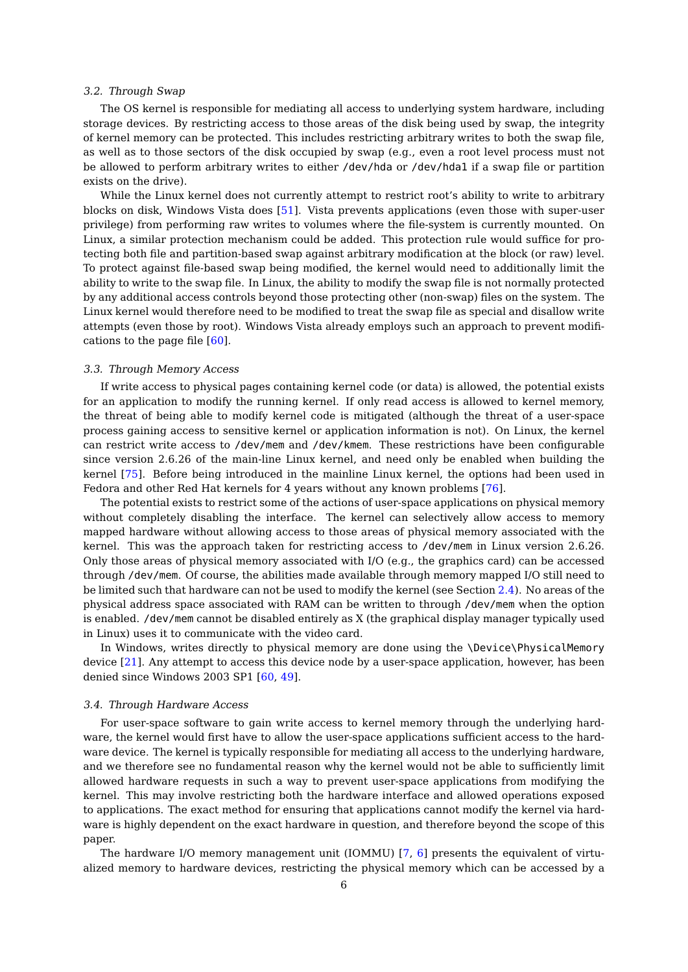#### <span id="page-5-0"></span>3.2. Through Swap

The OS kernel is responsible for mediating all access to underlying system hardware, including storage devices. By restricting access to those areas of the disk being used by swap, the integrity of kernel memory can be protected. This includes restricting arbitrary writes to both the swap file, as well as to those sectors of the disk occupied by swap (e.g., even a root level process must not be allowed to perform arbitrary writes to either /dev/hda or /dev/hda1 if a swap file or partition exists on the drive).

While the Linux kernel does not currently attempt to restrict root's ability to write to arbitrary blocks on disk, Windows Vista does [\[51\]](#page-10-19). Vista prevents applications (even those with super-user privilege) from performing raw writes to volumes where the file-system is currently mounted. On Linux, a similar protection mechanism could be added. This protection rule would suffice for protecting both file and partition-based swap against arbitrary modification at the block (or raw) level. To protect against file-based swap being modified, the kernel would need to additionally limit the ability to write to the swap file. In Linux, the ability to modify the swap file is not normally protected by any additional access controls beyond those protecting other (non-swap) files on the system. The Linux kernel would therefore need to be modified to treat the swap file as special and disallow write attempts (even those by root). Windows Vista already employs such an approach to prevent modifications to the page file [\[60\]](#page-10-5).

#### <span id="page-5-1"></span>3.3. Through Memory Access

If write access to physical pages containing kernel code (or data) is allowed, the potential exists for an application to modify the running kernel. If only read access is allowed to kernel memory, the threat of being able to modify kernel code is mitigated (although the threat of a user-space process gaining access to sensitive kernel or application information is not). On Linux, the kernel can restrict write access to /dev/mem and /dev/kmem. These restrictions have been configurable since version 2.6.26 of the main-line Linux kernel, and need only be enabled when building the kernel [\[75\]](#page-10-9). Before being introduced in the mainline Linux kernel, the options had been used in Fedora and other Red Hat kernels for 4 years without any known problems [\[76\]](#page-10-8).

The potential exists to restrict some of the actions of user-space applications on physical memory without completely disabling the interface. The kernel can selectively allow access to memory mapped hardware without allowing access to those areas of physical memory associated with the kernel. This was the approach taken for restricting access to /dev/mem in Linux version 2.6.26. Only those areas of physical memory associated with I/O (e.g., the graphics card) can be accessed through /dev/mem. Of course, the abilities made available through memory mapped I/O still need to be limited such that hardware can not be used to modify the kernel (see Section [2.4\)](#page-3-2). No areas of the physical address space associated with RAM can be written to through /dev/mem when the option is enabled. /dev/mem cannot be disabled entirely as X (the graphical display manager typically used in Linux) uses it to communicate with the video card.

In Windows, writes directly to physical memory are done using the \Device\PhysicalMemory device [\[21\]](#page-9-12). Any attempt to access this device node by a user-space application, however, has been denied since Windows 2003 SP1 [\[60,](#page-10-5) [49\]](#page-10-20).

#### 3.4. Through Hardware Access

For user-space software to gain write access to kernel memory through the underlying hardware, the kernel would first have to allow the user-space applications sufficient access to the hardware device. The kernel is typically responsible for mediating all access to the underlying hardware, and we therefore see no fundamental reason why the kernel would not be able to sufficiently limit allowed hardware requests in such a way to prevent user-space applications from modifying the kernel. This may involve restricting both the hardware interface and allowed operations exposed to applications. The exact method for ensuring that applications cannot modify the kernel via hardware is highly dependent on the exact hardware in question, and therefore beyond the scope of this paper.

The hardware I/O memory management unit (IOMMU) [\[7,](#page-8-3) [6\]](#page-8-4) presents the equivalent of virtualized memory to hardware devices, restricting the physical memory which can be accessed by a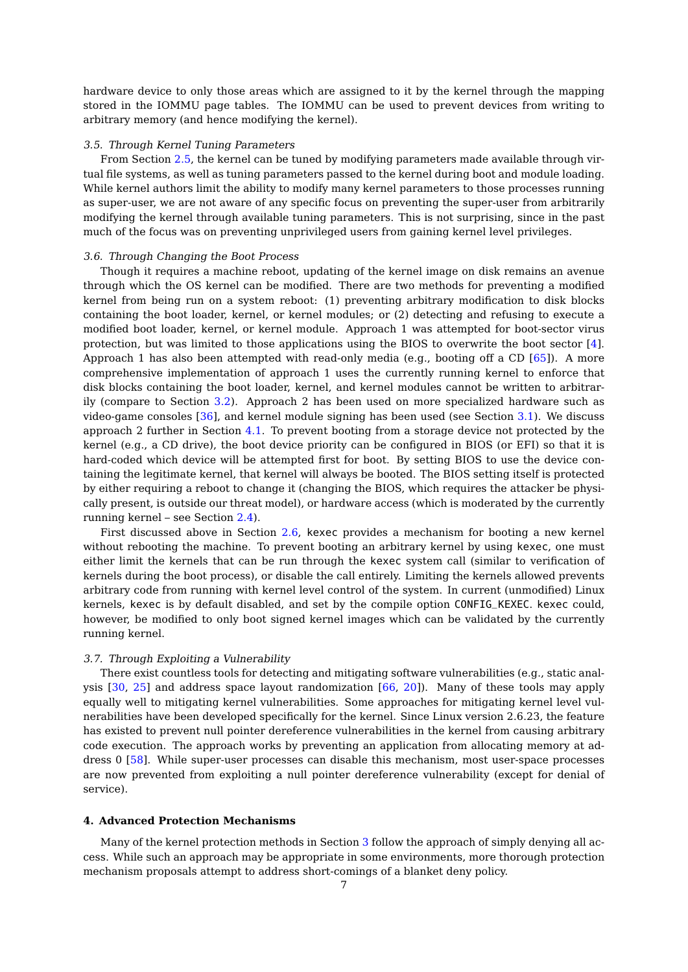hardware device to only those areas which are assigned to it by the kernel through the mapping stored in the IOMMU page tables. The IOMMU can be used to prevent devices from writing to arbitrary memory (and hence modifying the kernel).

#### 3.5. Through Kernel Tuning Parameters

From Section [2.5,](#page-3-3) the kernel can be tuned by modifying parameters made available through virtual file systems, as well as tuning parameters passed to the kernel during boot and module loading. While kernel authors limit the ability to modify many kernel parameters to those processes running as super-user, we are not aware of any specific focus on preventing the super-user from arbitrarily modifying the kernel through available tuning parameters. This is not surprising, since in the past much of the focus was on preventing unprivileged users from gaining kernel level privileges.

### 3.6. Through Changing the Boot Process

Though it requires a machine reboot, updating of the kernel image on disk remains an avenue through which the OS kernel can be modified. There are two methods for preventing a modified kernel from being run on a system reboot: (1) preventing arbitrary modification to disk blocks containing the boot loader, kernel, or kernel modules; or (2) detecting and refusing to execute a modified boot loader, kernel, or kernel module. Approach 1 was attempted for boot-sector virus protection, but was limited to those applications using the BIOS to overwrite the boot sector [\[4\]](#page-8-5). Approach 1 has also been attempted with read-only media (e.g., booting off a CD [\[65\]](#page-10-21)). A more comprehensive implementation of approach 1 uses the currently running kernel to enforce that disk blocks containing the boot loader, kernel, and kernel modules cannot be written to arbitrarily (compare to Section [3.2\)](#page-5-0). Approach 2 has been used on more specialized hardware such as video-game consoles  $[36]$ , and kernel module signing has been used (see Section [3.1\)](#page-4-1). We discuss approach 2 further in Section [4.1.](#page-7-0) To prevent booting from a storage device not protected by the kernel (e.g., a CD drive), the boot device priority can be configured in BIOS (or EFI) so that it is hard-coded which device will be attempted first for boot. By setting BIOS to use the device containing the legitimate kernel, that kernel will always be booted. The BIOS setting itself is protected by either requiring a reboot to change it (changing the BIOS, which requires the attacker be physically present, is outside our threat model), or hardware access (which is moderated by the currently running kernel – see Section [2.4\)](#page-3-2).

First discussed above in Section [2.6,](#page-3-4) kexec provides a mechanism for booting a new kernel without rebooting the machine. To prevent booting an arbitrary kernel by using kexec, one must either limit the kernels that can be run through the kexec system call (similar to verification of kernels during the boot process), or disable the call entirely. Limiting the kernels allowed prevents arbitrary code from running with kernel level control of the system. In current (unmodified) Linux kernels, kexec is by default disabled, and set by the compile option CONFIG\_KEXEC. kexec could, however, be modified to only boot signed kernel images which can be validated by the currently running kernel.

## <span id="page-6-1"></span>3.7. Through Exploiting a Vulnerability

There exist countless tools for detecting and mitigating software vulnerabilities (e.g., static analysis [\[30,](#page-9-31) [25\]](#page-9-32) and address space layout randomization [\[66,](#page-10-22) [20\]](#page-9-33)). Many of these tools may apply equally well to mitigating kernel vulnerabilities. Some approaches for mitigating kernel level vulnerabilities have been developed specifically for the kernel. Since Linux version 2.6.23, the feature has existed to prevent null pointer dereference vulnerabilities in the kernel from causing arbitrary code execution. The approach works by preventing an application from allocating memory at address 0 [\[58\]](#page-10-23). While super-user processes can disable this mechanism, most user-space processes are now prevented from exploiting a null pointer dereference vulnerability (except for denial of service).

# <span id="page-6-0"></span>**4. Advanced Protection Mechanisms**

Many of the kernel protection methods in Section [3](#page-4-0) follow the approach of simply denying all access. While such an approach may be appropriate in some environments, more thorough protection mechanism proposals attempt to address short-comings of a blanket deny policy.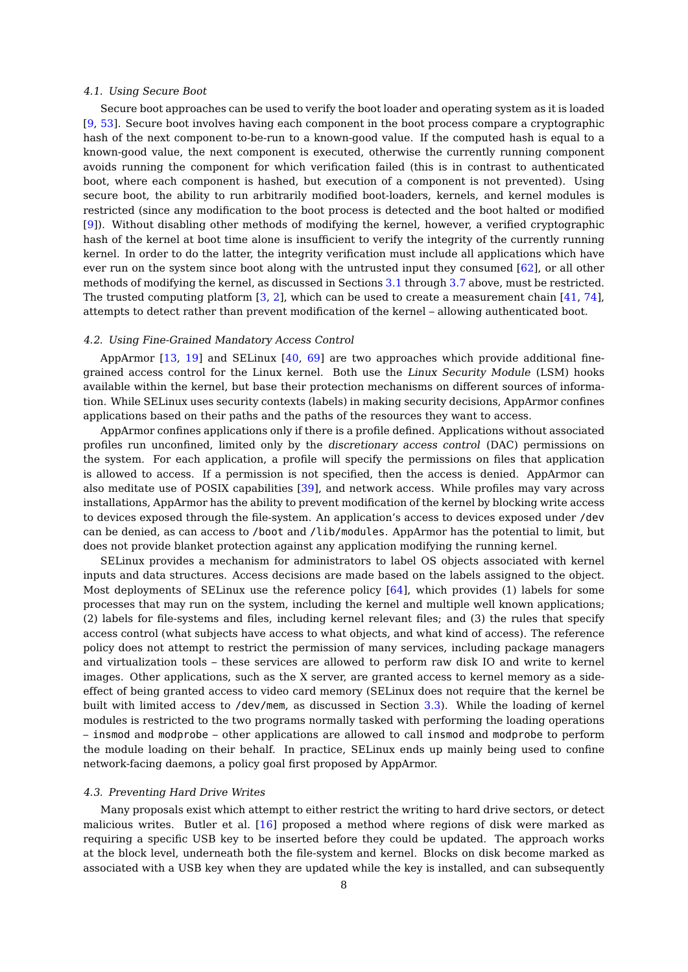### <span id="page-7-0"></span>4.1. Using Secure Boot

Secure boot approaches can be used to verify the boot loader and operating system as it is loaded [\[9,](#page-9-34) [53\]](#page-10-24). Secure boot involves having each component in the boot process compare a cryptographic hash of the next component to-be-run to a known-good value. If the computed hash is equal to a known-good value, the next component is executed, otherwise the currently running component avoids running the component for which verification failed (this is in contrast to authenticated boot, where each component is hashed, but execution of a component is not prevented). Using secure boot, the ability to run arbitrarily modified boot-loaders, kernels, and kernel modules is restricted (since any modification to the boot process is detected and the boot halted or modified [\[9\]](#page-9-34)). Without disabling other methods of modifying the kernel, however, a verified cryptographic hash of the kernel at boot time alone is insufficient to verify the integrity of the currently running kernel. In order to do the latter, the integrity verification must include all applications which have ever run on the system since boot along with the untrusted input they consumed [\[62\]](#page-10-25), or all other methods of modifying the kernel, as discussed in Sections [3.1](#page-4-1) through [3.7](#page-6-1) above, must be restricted. The trusted computing platform [\[3,](#page-8-6) [2\]](#page-8-7), which can be used to create a measurement chain [\[41,](#page-9-35) [74\]](#page-10-26), attempts to detect rather than prevent modification of the kernel – allowing authenticated boot.

## 4.2. Using Fine-Grained Mandatory Access Control

AppArmor  $[13, 19]$  $[13, 19]$  $[13, 19]$  and SELinux  $[40, 69]$  $[40, 69]$  $[40, 69]$  are two approaches which provide additional finegrained access control for the Linux kernel. Both use the Linux Security Module (LSM) hooks available within the kernel, but base their protection mechanisms on different sources of information. While SELinux uses security contexts (labels) in making security decisions, AppArmor confines applications based on their paths and the paths of the resources they want to access.

AppArmor confines applications only if there is a profile defined. Applications without associated profiles run unconfined, limited only by the discretionary access control (DAC) permissions on the system. For each application, a profile will specify the permissions on files that application is allowed to access. If a permission is not specified, then the access is denied. AppArmor can also meditate use of POSIX capabilities [\[39\]](#page-9-39), and network access. While profiles may vary across installations, AppArmor has the ability to prevent modification of the kernel by blocking write access to devices exposed through the file-system. An application's access to devices exposed under /dev can be denied, as can access to /boot and /lib/modules. AppArmor has the potential to limit, but does not provide blanket protection against any application modifying the running kernel.

SELinux provides a mechanism for administrators to label OS objects associated with kernel inputs and data structures. Access decisions are made based on the labels assigned to the object. Most deployments of SELinux use the reference policy [\[64\]](#page-10-28), which provides (1) labels for some processes that may run on the system, including the kernel and multiple well known applications; (2) labels for file-systems and files, including kernel relevant files; and (3) the rules that specify access control (what subjects have access to what objects, and what kind of access). The reference policy does not attempt to restrict the permission of many services, including package managers and virtualization tools – these services are allowed to perform raw disk IO and write to kernel images. Other applications, such as the X server, are granted access to kernel memory as a sideeffect of being granted access to video card memory (SELinux does not require that the kernel be built with limited access to /dev/mem, as discussed in Section [3.3\)](#page-5-1). While the loading of kernel modules is restricted to the two programs normally tasked with performing the loading operations – insmod and modprobe – other applications are allowed to call insmod and modprobe to perform the module loading on their behalf. In practice, SELinux ends up mainly being used to confine network-facing daemons, a policy goal first proposed by AppArmor.

### 4.3. Preventing Hard Drive Writes

Many proposals exist which attempt to either restrict the writing to hard drive sectors, or detect malicious writes. Butler et al. [\[16\]](#page-9-40) proposed a method where regions of disk were marked as requiring a specific USB key to be inserted before they could be updated. The approach works at the block level, underneath both the file-system and kernel. Blocks on disk become marked as associated with a USB key when they are updated while the key is installed, and can subsequently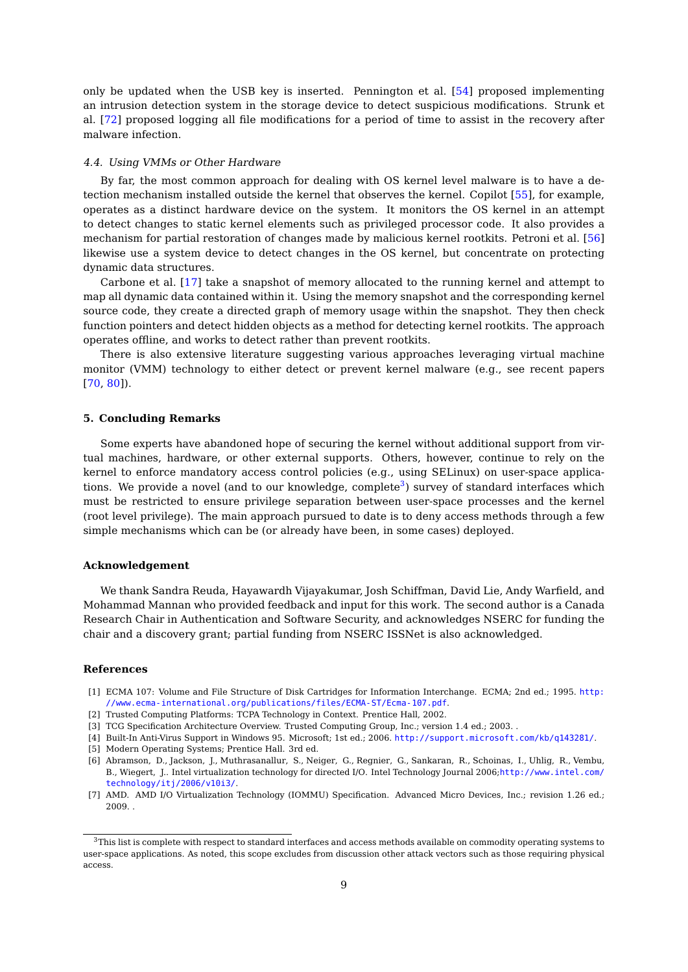only be updated when the USB key is inserted. Pennington et al. [\[54\]](#page-10-29) proposed implementing an intrusion detection system in the storage device to detect suspicious modifications. Strunk et al. [\[72\]](#page-10-30) proposed logging all file modifications for a period of time to assist in the recovery after malware infection.

#### 4.4. Using VMMs or Other Hardware

By far, the most common approach for dealing with OS kernel level malware is to have a detection mechanism installed outside the kernel that observes the kernel. Copilot [\[55\]](#page-10-0), for example, operates as a distinct hardware device on the system. It monitors the OS kernel in an attempt to detect changes to static kernel elements such as privileged processor code. It also provides a mechanism for partial restoration of changes made by malicious kernel rootkits. Petroni et al. [\[56\]](#page-10-1) likewise use a system device to detect changes in the OS kernel, but concentrate on protecting dynamic data structures.

Carbone et al. [\[17\]](#page-9-2) take a snapshot of memory allocated to the running kernel and attempt to map all dynamic data contained within it. Using the memory snapshot and the corresponding kernel source code, they create a directed graph of memory usage within the snapshot. They then check function pointers and detect hidden objects as a method for detecting kernel rootkits. The approach operates offline, and works to detect rather than prevent rootkits.

There is also extensive literature suggesting various approaches leveraging virtual machine monitor (VMM) technology to either detect or prevent kernel malware (e.g., see recent papers [\[70,](#page-10-31) [80\]](#page-10-32)).

### <span id="page-8-0"></span>**5. Concluding Remarks**

Some experts have abandoned hope of securing the kernel without additional support from virtual machines, hardware, or other external supports. Others, however, continue to rely on the kernel to enforce mandatory access control policies (e.g., using SELinux) on user-space applica-tions. We provide a novel (and to our knowledge, complete<sup>[3](#page-8-8)</sup>) survey of standard interfaces which must be restricted to ensure privilege separation between user-space processes and the kernel (root level privilege). The main approach pursued to date is to deny access methods through a few simple mechanisms which can be (or already have been, in some cases) deployed.

### **Acknowledgement**

We thank Sandra Reuda, Hayawardh Vijayakumar, Josh Schiffman, David Lie, Andy Warfield, and Mohammad Mannan who provided feedback and input for this work. The second author is a Canada Research Chair in Authentication and Software Security, and acknowledges NSERC for funding the chair and a discovery grant; partial funding from NSERC ISSNet is also acknowledged.

#### **References**

- <span id="page-8-2"></span>[1] ECMA 107: Volume and File Structure of Disk Cartridges for Information Interchange. ECMA; 2nd ed.; 1995. [http:](http://www.ecma-international.org/publications/files/ECMA-ST/Ecma-107.pdf) [//www.ecma-international.org/publications/files/ECMA-ST/Ecma-107.pdf](http://www.ecma-international.org/publications/files/ECMA-ST/Ecma-107.pdf).
- <span id="page-8-7"></span>[2] Trusted Computing Platforms: TCPA Technology in Context. Prentice Hall, 2002.
- <span id="page-8-6"></span>[3] TCG Specification Architecture Overview. Trusted Computing Group, Inc.; version 1.4 ed.; 2003. .
- <span id="page-8-5"></span>[4] Built-In Anti-Virus Support in Windows 95. Microsoft; 1st ed.; 2006. <http://support.microsoft.com/kb/q143281/>.
- <span id="page-8-1"></span>[5] Modern Operating Systems; Prentice Hall. 3rd ed.
- <span id="page-8-4"></span>[6] Abramson, D., Jackson, J., Muthrasanallur, S., Neiger, G., Regnier, G., Sankaran, R., Schoinas, I., Uhlig, R., Vembu, B., Wiegert, J.. Intel virtualization technology for directed I/O. Intel Technology Journal 2006;[http://www.intel.com/](http://www.intel.com/technology/itj/2006/v10i3/) [technology/itj/2006/v10i3/](http://www.intel.com/technology/itj/2006/v10i3/).
- <span id="page-8-3"></span>[7] AMD. AMD I/O Virtualization Technology (IOMMU) Specification. Advanced Micro Devices, Inc.; revision 1.26 ed.; 2009. .

<span id="page-8-8"></span> $3$ This list is complete with respect to standard interfaces and access methods available on commodity operating systems to user-space applications. As noted, this scope excludes from discussion other attack vectors such as those requiring physical access.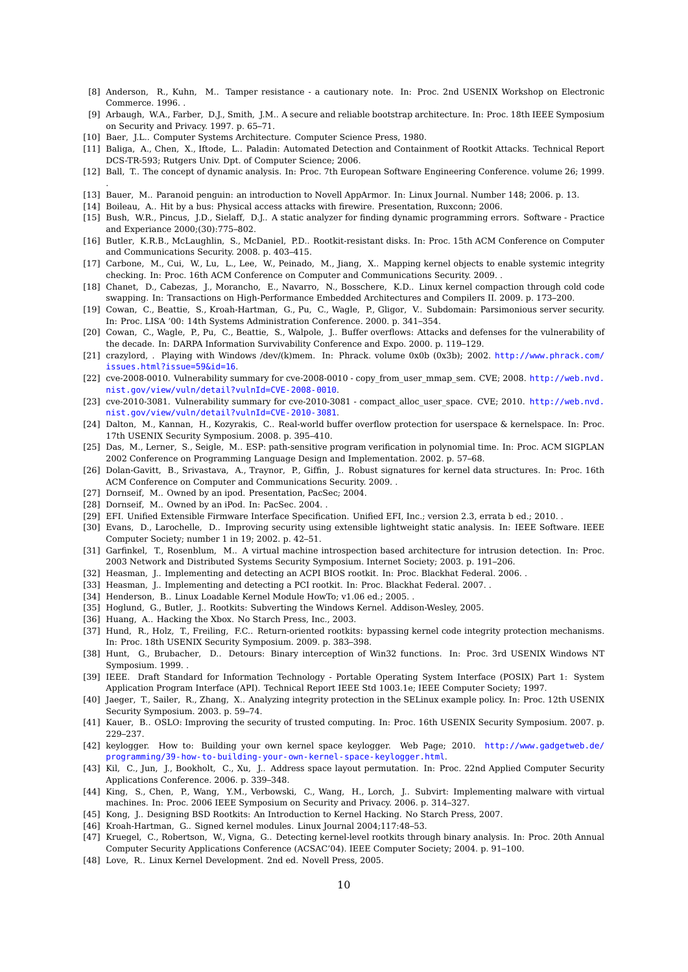- <span id="page-9-0"></span>[8] Anderson, R., Kuhn, M.. Tamper resistance - a cautionary note. In: Proc. 2nd USENIX Workshop on Electronic Commerce. 1996. .
- <span id="page-9-34"></span>[9] Arbaugh, W.A., Farber, D.J., Smith, J.M.. A secure and reliable bootstrap architecture. In: Proc. 18th IEEE Symposium on Security and Privacy. 1997. p. 65–71.
- <span id="page-9-13"></span>[10] Baer, J.L.. Computer Systems Architecture. Computer Science Press, 1980.
- <span id="page-9-5"></span>[11] Baliga, A., Chen, X., Iftode, L.. Paladin: Automated Detection and Containment of Rootkit Attacks. Technical Report DCS-TR-593; Rutgers Univ. Dpt. of Computer Science; 2006.
- <span id="page-9-27"></span>[12] Ball, T.. The concept of dynamic analysis. In: Proc. 7th European Software Engineering Conference. volume 26; 1999. .
- <span id="page-9-36"></span>[13] Bauer, M.. Paranoid penguin: an introduction to Novell AppArmor. In: Linux Journal. Number 148; 2006. p. 13.
- <span id="page-9-7"></span>[14] Boileau, A.. Hit by a bus: Physical access attacks with firewire. Presentation, Ruxconn; 2006.
- <span id="page-9-28"></span>[15] Bush, W.R., Pincus, J.D., Sielaff, D.J.. A static analyzer for finding dynamic programming errors. Software - Practice and Experiance 2000;(30):775–802.
- <span id="page-9-40"></span>[16] Butler, K.R.B., McLaughlin, S., McDaniel, P.D.. Rootkit-resistant disks. In: Proc. 15th ACM Conference on Computer and Communications Security. 2008. p. 403–415.
- <span id="page-9-2"></span>[17] Carbone, M., Cui, W., Lu, L., Lee, W., Peinado, M., Jiang, X.. Mapping kernel objects to enable systemic integrity checking. In: Proc. 16th ACM Conference on Computer and Communications Security. 2009. .
- <span id="page-9-11"></span>[18] Chanet, D., Cabezas, J., Morancho, E., Navarro, N., Bosschere, K.D.. Linux kernel compaction through cold code swapping. In: Transactions on High-Performance Embedded Architectures and Compilers II. 2009. p. 173–200.
- <span id="page-9-37"></span>[19] Cowan, C., Beattie, S., Kroah-Hartman, G., Pu, C., Wagle, P., Gligor, V.. Subdomain: Parsimonious server security. In: Proc. LISA '00: 14th Systems Administration Conference. 2000. p. 341–354.
- <span id="page-9-33"></span>[20] Cowan, C., Wagle, P., Pu, C., Beattie, S., Walpole, J.. Buffer overflows: Attacks and defenses for the vulnerability of the decade. In: DARPA Information Survivability Conference and Expo. 2000. p. 119–129.
- <span id="page-9-12"></span>[21] crazylord, . Playing with Windows /dev/(k)mem. In: Phrack. volume 0x0b (0x3b); 2002. [http://www.phrack.com/](http://www.phrack.com/issues.html?issue=59&id=16) [issues.html?issue=59&id=16](http://www.phrack.com/issues.html?issue=59&id=16).
- <span id="page-9-18"></span>[22] cve-2008-0010. Vulnerability summary for cve-2008-0010 - copy\_from\_user\_mmap\_sem. CVE; 2008. [http://web.nvd.](http://web.nvd.nist.gov/view/vuln/detail?vulnId=CVE-2008-0010) [nist.gov/view/vuln/detail?vulnId=CVE-2008-0010](http://web.nvd.nist.gov/view/vuln/detail?vulnId=CVE-2008-0010).
- <span id="page-9-19"></span>[23] cve-2010-3081. Vulnerability summary for cve-2010-3081 - compact\_alloc\_user\_space. CVE; 2010. [http://web.nvd.](http://web.nvd.nist.gov/view/vuln/detail?vulnId=CVE-2010-3081) [nist.gov/view/vuln/detail?vulnId=CVE-2010-3081](http://web.nvd.nist.gov/view/vuln/detail?vulnId=CVE-2010-3081).
- <span id="page-9-26"></span>[24] Dalton, M., Kannan, H., Kozyrakis, C.. Real-world buffer overflow protection for userspace & kernelspace. In: Proc. 17th USENIX Security Symposium. 2008. p. 395–410.
- <span id="page-9-32"></span>[25] Das, M., Lerner, S., Seigle, M.. ESP: path-sensitive program verification in polynomial time. In: Proc. ACM SIGPLAN 2002 Conference on Programming Language Design and Implementation. 2002. p. 57–68.
- <span id="page-9-4"></span>[26] Dolan-Gavitt, B., Srivastava, A., Traynor, P., Giffin, J.. Robust signatures for kernel data structures. In: Proc. 16th ACM Conference on Computer and Communications Security. 2009. .
- <span id="page-9-6"></span>[27] Dornseif, M.. Owned by an ipod. Presentation, PacSec; 2004.
- <span id="page-9-15"></span>[28] Dornseif, M.. Owned by an iPod. In: PacSec. 2004. .
- <span id="page-9-17"></span>[29] EFI. Unified Extensible Firmware Interface Specification. Unified EFI, Inc.; version 2.3, errata b ed.; 2010. .
- <span id="page-9-31"></span>[30] Evans, D., Larochelle, D.. Improving security using extensible lightweight static analysis. In: IEEE Software. IEEE Computer Society; number 1 in 19; 2002. p. 42–51.
- <span id="page-9-3"></span>[31] Garfinkel, T., Rosenblum, M.. A virtual machine introspection based architecture for intrusion detection. In: Proc. 2003 Network and Distributed Systems Security Symposium. Internet Society; 2003. p. 191–206.
- <span id="page-9-16"></span>[32] Heasman, J.. Implementing and detecting an ACPI BIOS rootkit. In: Proc. Blackhat Federal. 2006. .
- <span id="page-9-14"></span>[33] Heasman, J.. Implementing and detecting a PCI rootkit. In: Proc. Blackhat Federal. 2007. .
- <span id="page-9-10"></span>[34] Henderson, B.. Linux Loadable Kernel Module HowTo; v1.06 ed.; 2005. .
- <span id="page-9-8"></span>[35] Hoglund, G., Butler, J.. Rootkits: Subverting the Windows Kernel. Addison-Wesley, 2005.
- <span id="page-9-30"></span>[36] Huang, A.. Hacking the Xbox. No Starch Press, Inc., 2003.
- <span id="page-9-25"></span>[37] Hund, R., Holz, T., Freiling, F.C.. Return-oriented rootkits: bypassing kernel code integrity protection mechanisms. In: Proc. 18th USENIX Security Symposium. 2009. p. 383–398.
- <span id="page-9-21"></span>[38] Hunt, G., Brubacher, D.. Detours: Binary interception of Win32 functions. In: Proc. 3rd USENIX Windows NT Symposium. 1999. .
- <span id="page-9-39"></span>[39] IEEE. Draft Standard for Information Technology - Portable Operating System Interface (POSIX) Part 1: System Application Program Interface (API). Technical Report IEEE Std 1003.1e; IEEE Computer Society; 1997.
- <span id="page-9-38"></span>[40] Jaeger, T., Sailer, R., Zhang, X.. Analyzing integrity protection in the SELinux example policy. In: Proc. 12th USENIX Security Symposium. 2003. p. 59–74.
- <span id="page-9-35"></span>[41] Kauer, B.. OSLO: Improving the security of trusted computing. In: Proc. 16th USENIX Security Symposium. 2007. p. 229–237.
- <span id="page-9-23"></span>[42] keylogger. How to: Building your own kernel space keylogger. Web Page; 2010. [http://www.gadgetweb.de/](http://www.gadgetweb.de/programming/39-how-to-building-your-own-kernel-space-keylogger.html) [programming/39-how-to-building-your-own-kernel-space-keylogger.html](http://www.gadgetweb.de/programming/39-how-to-building-your-own-kernel-space-keylogger.html).
- <span id="page-9-24"></span>[43] Kil, C., Jun, J., Bookholt, C., Xu, J.. Address space layout permutation. In: Proc. 22nd Applied Computer Security Applications Conference. 2006. p. 339–348.
- <span id="page-9-22"></span>[44] King, S., Chen, P., Wang, Y.M., Verbowski, C., Wang, H., Lorch, J.. Subvirt: Implementing malware with virtual machines. In: Proc. 2006 IEEE Symposium on Security and Privacy. 2006. p. 314–327.
- <span id="page-9-20"></span>[45] Kong, J.. Designing BSD Rootkits: An Introduction to Kernel Hacking. No Starch Press, 2007.
- <span id="page-9-29"></span>[46] Kroah-Hartman, G.. Signed kernel modules. Linux Journal 2004;117:48–53.
- <span id="page-9-1"></span>[47] Kruegel, C., Robertson, W., Vigna, G.. Detecting kernel-level rootkits through binary analysis. In: Proc. 20th Annual Computer Security Applications Conference (ACSAC'04). IEEE Computer Society; 2004. p. 91–100.
- <span id="page-9-9"></span>[48] Love, R.. Linux Kernel Development. 2nd ed. Novell Press, 2005.